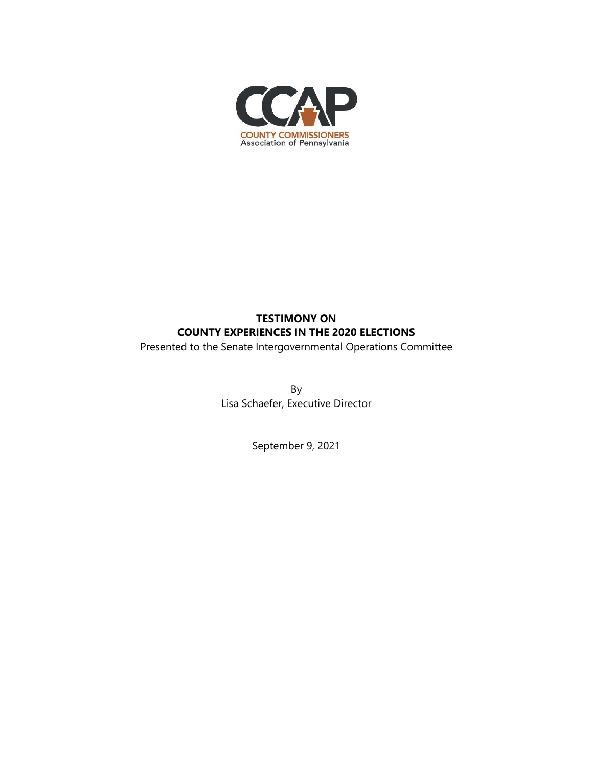

# **TESTIMONY ON COUNTY EXPERIENCES IN THE 2020 ELECTIONS**

Presented to the Senate Intergovernmental Operations Committee

By Lisa Schaefer, Executive Director

September 9, 2021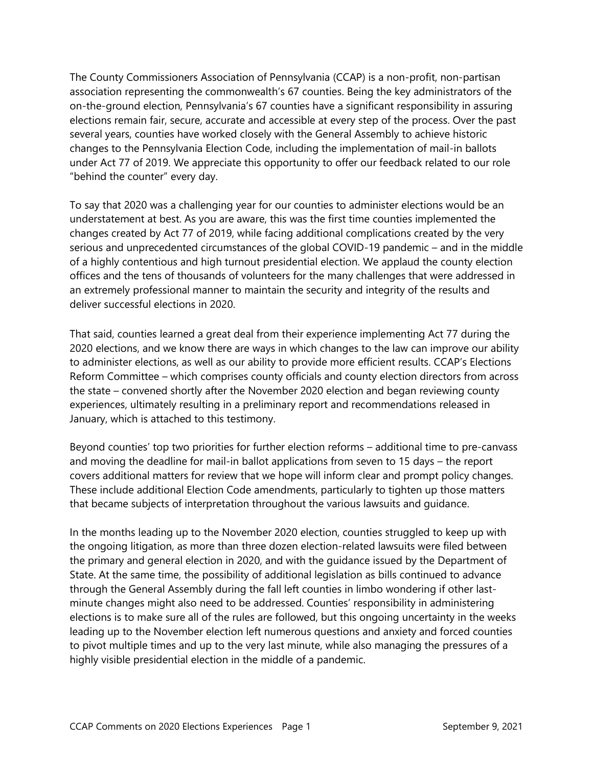The County Commissioners Association of Pennsylvania (CCAP) is a non-profit, non-partisan association representing the commonwealth's 67 counties. Being the key administrators of the on-the-ground election, Pennsylvania's 67 counties have a significant responsibility in assuring elections remain fair, secure, accurate and accessible at every step of the process. Over the past several years, counties have worked closely with the General Assembly to achieve historic changes to the Pennsylvania Election Code, including the implementation of mail-in ballots under Act 77 of 2019. We appreciate this opportunity to offer our feedback related to our role "behind the counter" every day.

To say that 2020 was a challenging year for our counties to administer elections would be an understatement at best. As you are aware, this was the first time counties implemented the changes created by Act 77 of 2019, while facing additional complications created by the very serious and unprecedented circumstances of the global COVID-19 pandemic – and in the middle of a highly contentious and high turnout presidential election. We applaud the county election offices and the tens of thousands of volunteers for the many challenges that were addressed in an extremely professional manner to maintain the security and integrity of the results and deliver successful elections in 2020.

That said, counties learned a great deal from their experience implementing Act 77 during the 2020 elections, and we know there are ways in which changes to the law can improve our ability to administer elections, as well as our ability to provide more efficient results. CCAP's Elections Reform Committee – which comprises county officials and county election directors from across the state – convened shortly after the November 2020 election and began reviewing county experiences, ultimately resulting in a preliminary report and recommendations released in January, which is attached to this testimony.

Beyond counties' top two priorities for further election reforms – additional time to pre-canvass and moving the deadline for mail-in ballot applications from seven to 15 days – the report covers additional matters for review that we hope will inform clear and prompt policy changes. These include additional Election Code amendments, particularly to tighten up those matters that became subjects of interpretation throughout the various lawsuits and guidance.

In the months leading up to the November 2020 election, counties struggled to keep up with the ongoing litigation, as more than three dozen election-related lawsuits were filed between the primary and general election in 2020, and with the guidance issued by the Department of State. At the same time, the possibility of additional legislation as bills continued to advance through the General Assembly during the fall left counties in limbo wondering if other lastminute changes might also need to be addressed. Counties' responsibility in administering elections is to make sure all of the rules are followed, but this ongoing uncertainty in the weeks leading up to the November election left numerous questions and anxiety and forced counties to pivot multiple times and up to the very last minute, while also managing the pressures of a highly visible presidential election in the middle of a pandemic.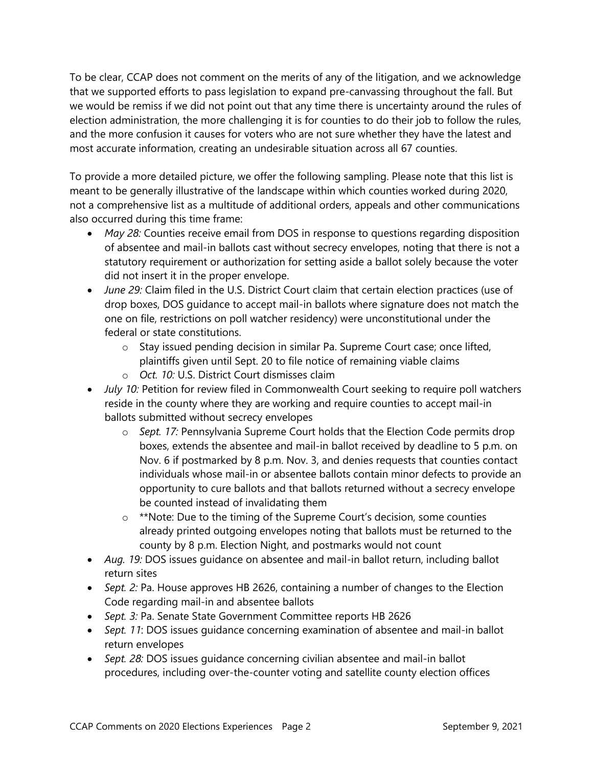To be clear, CCAP does not comment on the merits of any of the litigation, and we acknowledge that we supported efforts to pass legislation to expand pre-canvassing throughout the fall. But we would be remiss if we did not point out that any time there is uncertainty around the rules of election administration, the more challenging it is for counties to do their job to follow the rules, and the more confusion it causes for voters who are not sure whether they have the latest and most accurate information, creating an undesirable situation across all 67 counties.

To provide a more detailed picture, we offer the following sampling. Please note that this list is meant to be generally illustrative of the landscape within which counties worked during 2020, not a comprehensive list as a multitude of additional orders, appeals and other communications also occurred during this time frame:

- *May 28:* Counties receive email from DOS in response to questions regarding disposition of absentee and mail-in ballots cast without secrecy envelopes, noting that there is not a statutory requirement or authorization for setting aside a ballot solely because the voter did not insert it in the proper envelope.
- *June 29:* Claim filed in the U.S. District Court claim that certain election practices (use of drop boxes, DOS guidance to accept mail-in ballots where signature does not match the one on file, restrictions on poll watcher residency) were unconstitutional under the federal or state constitutions.
	- o Stay issued pending decision in similar Pa. Supreme Court case; once lifted, plaintiffs given until Sept. 20 to file notice of remaining viable claims
	- o *Oct. 10:* U.S. District Court dismisses claim
- *July 10:* Petition for review filed in Commonwealth Court seeking to require poll watchers reside in the county where they are working and require counties to accept mail-in ballots submitted without secrecy envelopes
	- o *Sept. 17:* Pennsylvania Supreme Court holds that the Election Code permits drop boxes, extends the absentee and mail-in ballot received by deadline to 5 p.m. on Nov. 6 if postmarked by 8 p.m. Nov. 3, and denies requests that counties contact individuals whose mail-in or absentee ballots contain minor defects to provide an opportunity to cure ballots and that ballots returned without a secrecy envelope be counted instead of invalidating them
	- o \*\*Note: Due to the timing of the Supreme Court's decision, some counties already printed outgoing envelopes noting that ballots must be returned to the county by 8 p.m. Election Night, and postmarks would not count
- *Aug. 19:* DOS issues guidance on absentee and mail-in ballot return, including ballot return sites
- *Sept. 2:* Pa. House approves HB 2626, containing a number of changes to the Election Code regarding mail-in and absentee ballots
- *Sept. 3:* Pa. Senate State Government Committee reports HB 2626
- *Sept. 11*: DOS issues guidance concerning examination of absentee and mail-in ballot return envelopes
- *Sept. 28:* DOS issues guidance concerning civilian absentee and mail-in ballot procedures, including over-the-counter voting and satellite county election offices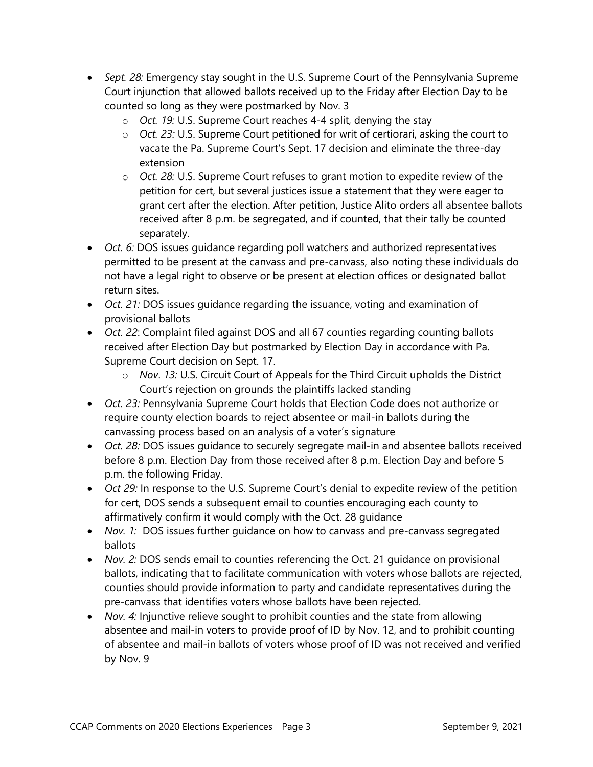- *Sept. 28:* Emergency stay sought in the U.S. Supreme Court of the Pennsylvania Supreme Court injunction that allowed ballots received up to the Friday after Election Day to be counted so long as they were postmarked by Nov. 3
	- o *Oct. 19:* U.S. Supreme Court reaches 4-4 split, denying the stay
	- o *Oct. 23:* U.S. Supreme Court petitioned for writ of certiorari, asking the court to vacate the Pa. Supreme Court's Sept. 17 decision and eliminate the three-day extension
	- o *Oct. 28:* U.S. Supreme Court refuses to grant motion to expedite review of the petition for cert, but several justices issue a statement that they were eager to grant cert after the election. After petition, Justice Alito orders all absentee ballots received after 8 p.m. be segregated, and if counted, that their tally be counted separately.
- *Oct. 6:* DOS issues guidance regarding poll watchers and authorized representatives permitted to be present at the canvass and pre-canvass, also noting these individuals do not have a legal right to observe or be present at election offices or designated ballot return sites.
- *Oct. 21:* DOS issues guidance regarding the issuance, voting and examination of provisional ballots
- *Oct. 22*: Complaint filed against DOS and all 67 counties regarding counting ballots received after Election Day but postmarked by Election Day in accordance with Pa. Supreme Court decision on Sept. 17.
	- o *Nov*. *13:* U.S. Circuit Court of Appeals for the Third Circuit upholds the District Court's rejection on grounds the plaintiffs lacked standing
- *Oct. 23:* Pennsylvania Supreme Court holds that Election Code does not authorize or require county election boards to reject absentee or mail-in ballots during the canvassing process based on an analysis of a voter's signature
- *Oct. 28:* DOS issues guidance to securely segregate mail-in and absentee ballots received before 8 p.m. Election Day from those received after 8 p.m. Election Day and before 5 p.m. the following Friday.
- *Oct 29:* In response to the U.S. Supreme Court's denial to expedite review of the petition for cert, DOS sends a subsequent email to counties encouraging each county to affirmatively confirm it would comply with the Oct. 28 guidance
- *Nov. 1:* DOS issues further guidance on how to canvass and pre-canvass segregated ballots
- *Nov. 2:* DOS sends email to counties referencing the Oct. 21 guidance on provisional ballots, indicating that to facilitate communication with voters whose ballots are rejected, counties should provide information to party and candidate representatives during the pre-canvass that identifies voters whose ballots have been rejected.
- *Nov. 4:* Injunctive relieve sought to prohibit counties and the state from allowing absentee and mail-in voters to provide proof of ID by Nov. 12, and to prohibit counting of absentee and mail-in ballots of voters whose proof of ID was not received and verified by Nov. 9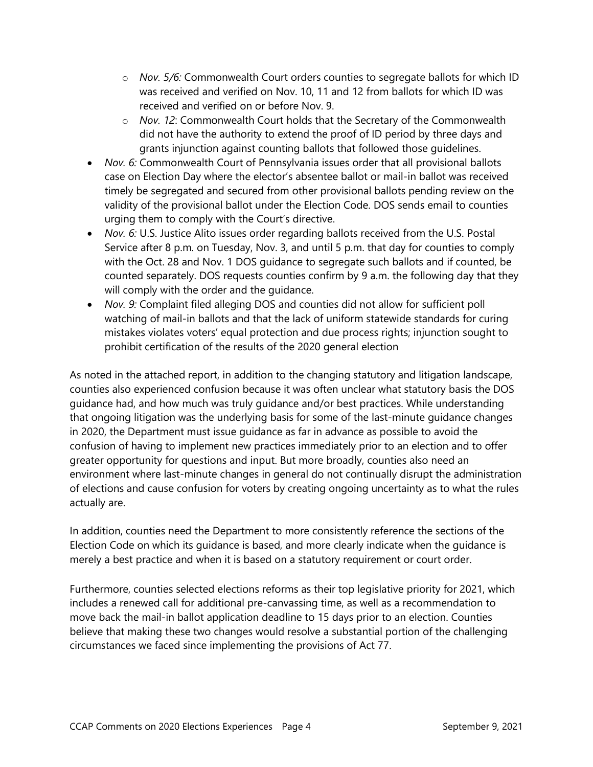- o *Nov. 5/6:* Commonwealth Court orders counties to segregate ballots for which ID was received and verified on Nov. 10, 11 and 12 from ballots for which ID was received and verified on or before Nov. 9.
- o *Nov. 12*: Commonwealth Court holds that the Secretary of the Commonwealth did not have the authority to extend the proof of ID period by three days and grants injunction against counting ballots that followed those guidelines.
- *Nov. 6:* Commonwealth Court of Pennsylvania issues order that all provisional ballots case on Election Day where the elector's absentee ballot or mail-in ballot was received timely be segregated and secured from other provisional ballots pending review on the validity of the provisional ballot under the Election Code. DOS sends email to counties urging them to comply with the Court's directive.
- *Nov. 6:* U.S. Justice Alito issues order regarding ballots received from the U.S. Postal Service after 8 p.m. on Tuesday, Nov. 3, and until 5 p.m. that day for counties to comply with the Oct. 28 and Nov. 1 DOS guidance to segregate such ballots and if counted, be counted separately. DOS requests counties confirm by 9 a.m. the following day that they will comply with the order and the guidance.
- *Nov. 9:* Complaint filed alleging DOS and counties did not allow for sufficient poll watching of mail-in ballots and that the lack of uniform statewide standards for curing mistakes violates voters' equal protection and due process rights; injunction sought to prohibit certification of the results of the 2020 general election

As noted in the attached report, in addition to the changing statutory and litigation landscape, counties also experienced confusion because it was often unclear what statutory basis the DOS guidance had, and how much was truly guidance and/or best practices. While understanding that ongoing litigation was the underlying basis for some of the last-minute guidance changes in 2020, the Department must issue guidance as far in advance as possible to avoid the confusion of having to implement new practices immediately prior to an election and to offer greater opportunity for questions and input. But more broadly, counties also need an environment where last-minute changes in general do not continually disrupt the administration of elections and cause confusion for voters by creating ongoing uncertainty as to what the rules actually are.

In addition, counties need the Department to more consistently reference the sections of the Election Code on which its guidance is based, and more clearly indicate when the guidance is merely a best practice and when it is based on a statutory requirement or court order.

Furthermore, counties selected elections reforms as their top legislative priority for 2021, which includes a renewed call for additional pre-canvassing time, as well as a recommendation to move back the mail-in ballot application deadline to 15 days prior to an election. Counties believe that making these two changes would resolve a substantial portion of the challenging circumstances we faced since implementing the provisions of Act 77.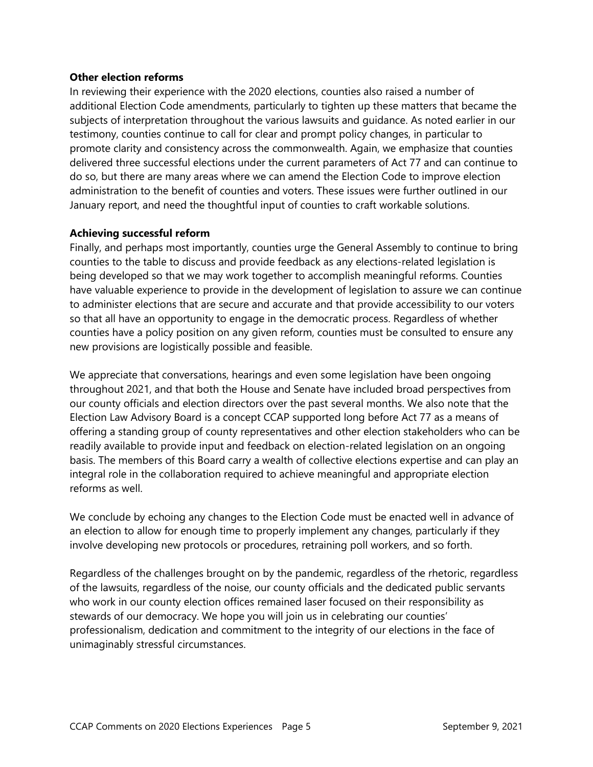#### **Other election reforms**

In reviewing their experience with the 2020 elections, counties also raised a number of additional Election Code amendments, particularly to tighten up these matters that became the subjects of interpretation throughout the various lawsuits and guidance. As noted earlier in our testimony, counties continue to call for clear and prompt policy changes, in particular to promote clarity and consistency across the commonwealth. Again, we emphasize that counties delivered three successful elections under the current parameters of Act 77 and can continue to do so, but there are many areas where we can amend the Election Code to improve election administration to the benefit of counties and voters. These issues were further outlined in our January report, and need the thoughtful input of counties to craft workable solutions.

### **Achieving successful reform**

Finally, and perhaps most importantly, counties urge the General Assembly to continue to bring counties to the table to discuss and provide feedback as any elections-related legislation is being developed so that we may work together to accomplish meaningful reforms. Counties have valuable experience to provide in the development of legislation to assure we can continue to administer elections that are secure and accurate and that provide accessibility to our voters so that all have an opportunity to engage in the democratic process. Regardless of whether counties have a policy position on any given reform, counties must be consulted to ensure any new provisions are logistically possible and feasible.

We appreciate that conversations, hearings and even some legislation have been ongoing throughout 2021, and that both the House and Senate have included broad perspectives from our county officials and election directors over the past several months. We also note that the Election Law Advisory Board is a concept CCAP supported long before Act 77 as a means of offering a standing group of county representatives and other election stakeholders who can be readily available to provide input and feedback on election-related legislation on an ongoing basis. The members of this Board carry a wealth of collective elections expertise and can play an integral role in the collaboration required to achieve meaningful and appropriate election reforms as well.

We conclude by echoing any changes to the Election Code must be enacted well in advance of an election to allow for enough time to properly implement any changes, particularly if they involve developing new protocols or procedures, retraining poll workers, and so forth.

Regardless of the challenges brought on by the pandemic, regardless of the rhetoric, regardless of the lawsuits, regardless of the noise, our county officials and the dedicated public servants who work in our county election offices remained laser focused on their responsibility as stewards of our democracy. We hope you will join us in celebrating our counties' professionalism, dedication and commitment to the integrity of our elections in the face of unimaginably stressful circumstances.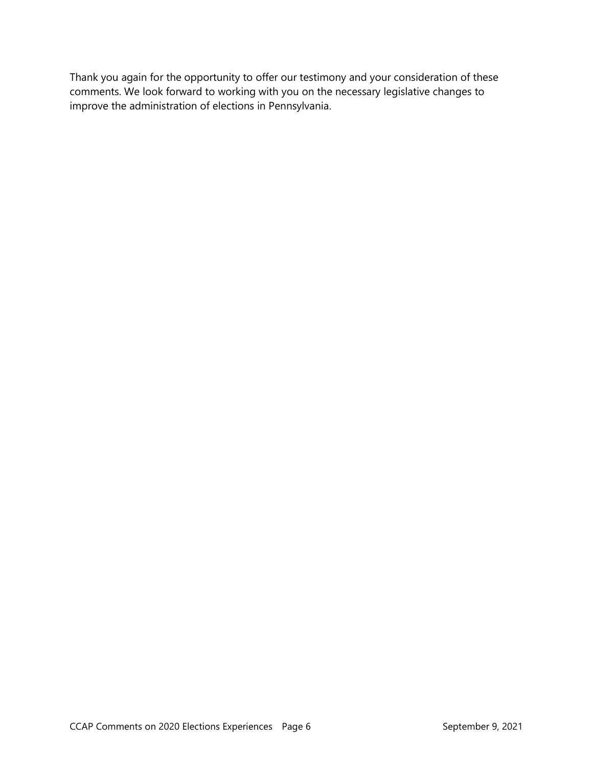Thank you again for the opportunity to offer our testimony and your consideration of these comments. We look forward to working with you on the necessary legislative changes to improve the administration of elections in Pennsylvania.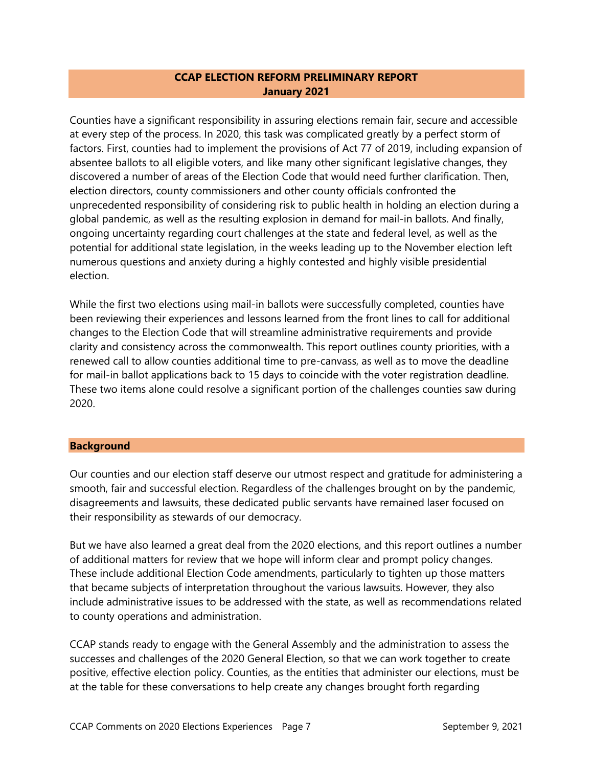### **CCAP ELECTION REFORM PRELIMINARY REPORT January 2021**

Counties have a significant responsibility in assuring elections remain fair, secure and accessible at every step of the process. In 2020, this task was complicated greatly by a perfect storm of factors. First, counties had to implement the provisions of Act 77 of 2019, including expansion of absentee ballots to all eligible voters, and like many other significant legislative changes, they discovered a number of areas of the Election Code that would need further clarification. Then, election directors, county commissioners and other county officials confronted the unprecedented responsibility of considering risk to public health in holding an election during a global pandemic, as well as the resulting explosion in demand for mail-in ballots. And finally, ongoing uncertainty regarding court challenges at the state and federal level, as well as the potential for additional state legislation, in the weeks leading up to the November election left numerous questions and anxiety during a highly contested and highly visible presidential election.

While the first two elections using mail-in ballots were successfully completed, counties have been reviewing their experiences and lessons learned from the front lines to call for additional changes to the Election Code that will streamline administrative requirements and provide clarity and consistency across the commonwealth. This report outlines county priorities, with a renewed call to allow counties additional time to pre-canvass, as well as to move the deadline for mail-in ballot applications back to 15 days to coincide with the voter registration deadline. These two items alone could resolve a significant portion of the challenges counties saw during 2020.

#### **Background**

Our counties and our election staff deserve our utmost respect and gratitude for administering a smooth, fair and successful election. Regardless of the challenges brought on by the pandemic, disagreements and lawsuits, these dedicated public servants have remained laser focused on their responsibility as stewards of our democracy.

But we have also learned a great deal from the 2020 elections, and this report outlines a number of additional matters for review that we hope will inform clear and prompt policy changes. These include additional Election Code amendments, particularly to tighten up those matters that became subjects of interpretation throughout the various lawsuits. However, they also include administrative issues to be addressed with the state, as well as recommendations related to county operations and administration.

CCAP stands ready to engage with the General Assembly and the administration to assess the successes and challenges of the 2020 General Election, so that we can work together to create positive, effective election policy. Counties, as the entities that administer our elections, must be at the table for these conversations to help create any changes brought forth regarding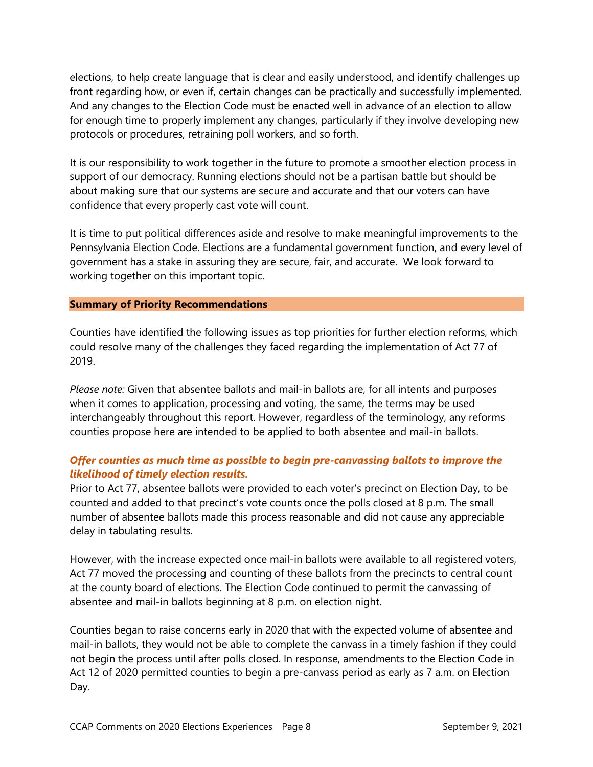elections, to help create language that is clear and easily understood, and identify challenges up front regarding how, or even if, certain changes can be practically and successfully implemented. And any changes to the Election Code must be enacted well in advance of an election to allow for enough time to properly implement any changes, particularly if they involve developing new protocols or procedures, retraining poll workers, and so forth.

It is our responsibility to work together in the future to promote a smoother election process in support of our democracy. Running elections should not be a partisan battle but should be about making sure that our systems are secure and accurate and that our voters can have confidence that every properly cast vote will count.

It is time to put political differences aside and resolve to make meaningful improvements to the Pennsylvania Election Code. Elections are a fundamental government function, and every level of government has a stake in assuring they are secure, fair, and accurate. We look forward to working together on this important topic.

#### **Summary of Priority Recommendations**

Counties have identified the following issues as top priorities for further election reforms, which could resolve many of the challenges they faced regarding the implementation of Act 77 of 2019.

*Please note:* Given that absentee ballots and mail-in ballots are, for all intents and purposes when it comes to application, processing and voting, the same, the terms may be used interchangeably throughout this report. However, regardless of the terminology, any reforms counties propose here are intended to be applied to both absentee and mail-in ballots.

# *Offer counties as much time as possible to begin pre-canvassing ballots to improve the likelihood of timely election results.*

Prior to Act 77, absentee ballots were provided to each voter's precinct on Election Day, to be counted and added to that precinct's vote counts once the polls closed at 8 p.m. The small number of absentee ballots made this process reasonable and did not cause any appreciable delay in tabulating results.

However, with the increase expected once mail-in ballots were available to all registered voters, Act 77 moved the processing and counting of these ballots from the precincts to central count at the county board of elections. The Election Code continued to permit the canvassing of absentee and mail-in ballots beginning at 8 p.m. on election night.

Counties began to raise concerns early in 2020 that with the expected volume of absentee and mail-in ballots, they would not be able to complete the canvass in a timely fashion if they could not begin the process until after polls closed. In response, amendments to the Election Code in Act 12 of 2020 permitted counties to begin a pre-canvass period as early as 7 a.m. on Election Day.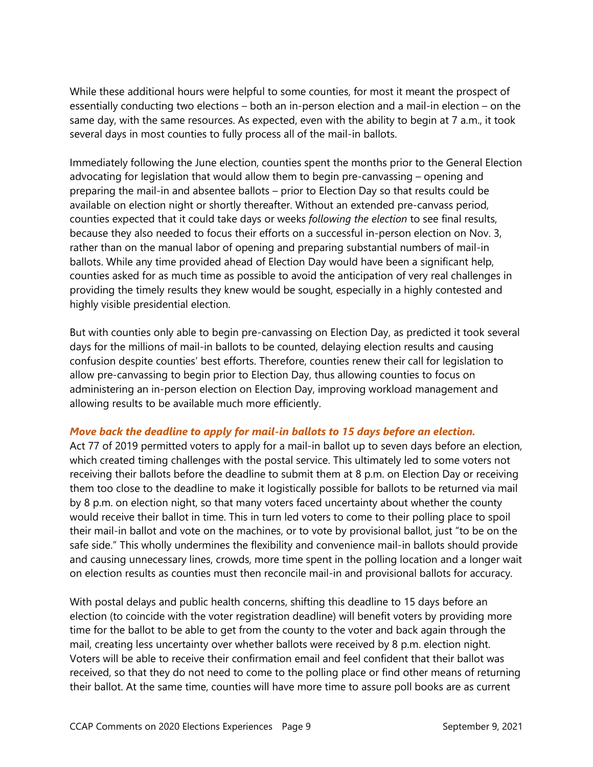While these additional hours were helpful to some counties, for most it meant the prospect of essentially conducting two elections – both an in-person election and a mail-in election – on the same day, with the same resources. As expected, even with the ability to begin at 7 a.m., it took several days in most counties to fully process all of the mail-in ballots.

Immediately following the June election, counties spent the months prior to the General Election advocating for legislation that would allow them to begin pre-canvassing – opening and preparing the mail-in and absentee ballots – prior to Election Day so that results could be available on election night or shortly thereafter. Without an extended pre-canvass period, counties expected that it could take days or weeks *following the election* to see final results, because they also needed to focus their efforts on a successful in-person election on Nov. 3, rather than on the manual labor of opening and preparing substantial numbers of mail-in ballots. While any time provided ahead of Election Day would have been a significant help, counties asked for as much time as possible to avoid the anticipation of very real challenges in providing the timely results they knew would be sought, especially in a highly contested and highly visible presidential election.

But with counties only able to begin pre-canvassing on Election Day, as predicted it took several days for the millions of mail-in ballots to be counted, delaying election results and causing confusion despite counties' best efforts. Therefore, counties renew their call for legislation to allow pre-canvassing to begin prior to Election Day, thus allowing counties to focus on administering an in-person election on Election Day, improving workload management and allowing results to be available much more efficiently.

#### *Move back the deadline to apply for mail-in ballots to 15 days before an election.*

Act 77 of 2019 permitted voters to apply for a mail-in ballot up to seven days before an election, which created timing challenges with the postal service. This ultimately led to some voters not receiving their ballots before the deadline to submit them at 8 p.m. on Election Day or receiving them too close to the deadline to make it logistically possible for ballots to be returned via mail by 8 p.m. on election night, so that many voters faced uncertainty about whether the county would receive their ballot in time. This in turn led voters to come to their polling place to spoil their mail-in ballot and vote on the machines, or to vote by provisional ballot, just "to be on the safe side." This wholly undermines the flexibility and convenience mail-in ballots should provide and causing unnecessary lines, crowds, more time spent in the polling location and a longer wait on election results as counties must then reconcile mail-in and provisional ballots for accuracy.

With postal delays and public health concerns, shifting this deadline to 15 days before an election (to coincide with the voter registration deadline) will benefit voters by providing more time for the ballot to be able to get from the county to the voter and back again through the mail, creating less uncertainty over whether ballots were received by 8 p.m. election night. Voters will be able to receive their confirmation email and feel confident that their ballot was received, so that they do not need to come to the polling place or find other means of returning their ballot. At the same time, counties will have more time to assure poll books are as current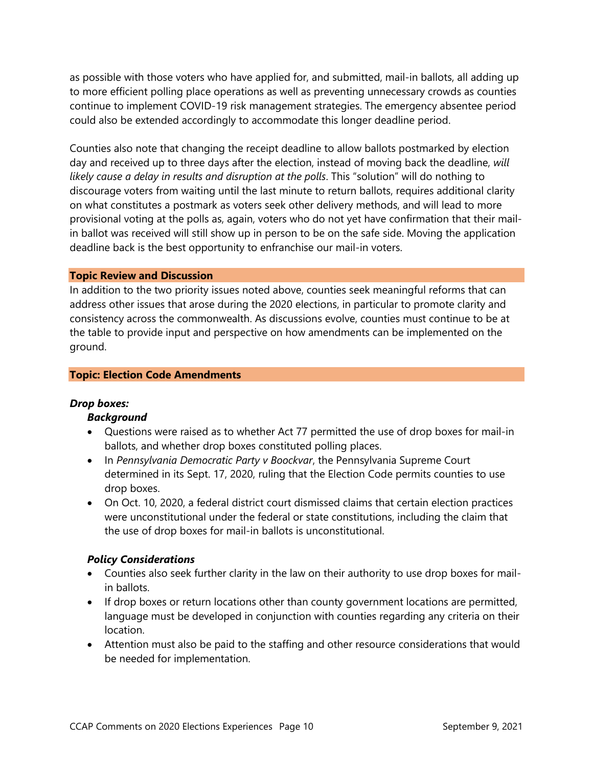as possible with those voters who have applied for, and submitted, mail-in ballots, all adding up to more efficient polling place operations as well as preventing unnecessary crowds as counties continue to implement COVID-19 risk management strategies. The emergency absentee period could also be extended accordingly to accommodate this longer deadline period.

Counties also note that changing the receipt deadline to allow ballots postmarked by election day and received up to three days after the election, instead of moving back the deadline, *will likely cause a delay in results and disruption at the polls*. This "solution" will do nothing to discourage voters from waiting until the last minute to return ballots, requires additional clarity on what constitutes a postmark as voters seek other delivery methods, and will lead to more provisional voting at the polls as, again, voters who do not yet have confirmation that their mailin ballot was received will still show up in person to be on the safe side. Moving the application deadline back is the best opportunity to enfranchise our mail-in voters.

#### **Topic Review and Discussion**

In addition to the two priority issues noted above, counties seek meaningful reforms that can address other issues that arose during the 2020 elections, in particular to promote clarity and consistency across the commonwealth. As discussions evolve, counties must continue to be at the table to provide input and perspective on how amendments can be implemented on the ground.

#### **Topic: Election Code Amendments**

#### *Drop boxes:*

#### *Background*

- Questions were raised as to whether Act 77 permitted the use of drop boxes for mail-in ballots, and whether drop boxes constituted polling places.
- In *Pennsylvania Democratic Party v Boockvar*, the Pennsylvania Supreme Court determined in its Sept. 17, 2020, ruling that the Election Code permits counties to use drop boxes.
- On Oct. 10, 2020, a federal district court dismissed claims that certain election practices were unconstitutional under the federal or state constitutions, including the claim that the use of drop boxes for mail-in ballots is unconstitutional.

#### *Policy Considerations*

- Counties also seek further clarity in the law on their authority to use drop boxes for mailin ballots.
- If drop boxes or return locations other than county government locations are permitted, language must be developed in conjunction with counties regarding any criteria on their location.
- Attention must also be paid to the staffing and other resource considerations that would be needed for implementation.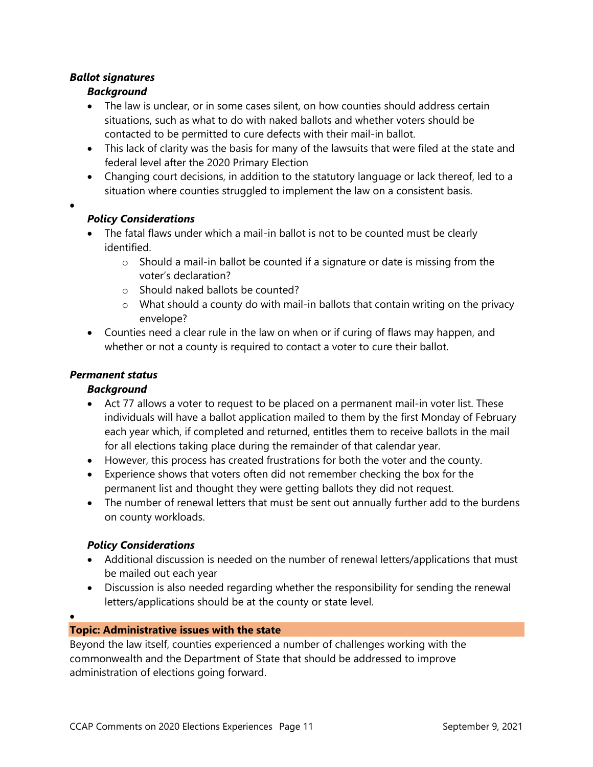# *Ballot signatures*

•

•

# *Background*

- The law is unclear, or in some cases silent, on how counties should address certain situations, such as what to do with naked ballots and whether voters should be contacted to be permitted to cure defects with their mail-in ballot.
- This lack of clarity was the basis for many of the lawsuits that were filed at the state and federal level after the 2020 Primary Election
- Changing court decisions, in addition to the statutory language or lack thereof, led to a situation where counties struggled to implement the law on a consistent basis.

# *Policy Considerations*

- The fatal flaws under which a mail-in ballot is not to be counted must be clearly identified.
	- $\circ$  Should a mail-in ballot be counted if a signature or date is missing from the voter's declaration?
	- o Should naked ballots be counted?
	- $\circ$  What should a county do with mail-in ballots that contain writing on the privacy envelope?
- Counties need a clear rule in the law on when or if curing of flaws may happen, and whether or not a county is required to contact a voter to cure their ballot.

# *Permanent status*

# *Background*

- Act 77 allows a voter to request to be placed on a permanent mail-in voter list. These individuals will have a ballot application mailed to them by the first Monday of February each year which, if completed and returned, entitles them to receive ballots in the mail for all elections taking place during the remainder of that calendar year.
- However, this process has created frustrations for both the voter and the county.
- Experience shows that voters often did not remember checking the box for the permanent list and thought they were getting ballots they did not request.
- The number of renewal letters that must be sent out annually further add to the burdens on county workloads.

# *Policy Considerations*

- Additional discussion is needed on the number of renewal letters/applications that must be mailed out each year
- Discussion is also needed regarding whether the responsibility for sending the renewal letters/applications should be at the county or state level.

# **Topic: Administrative issues with the state**

Beyond the law itself, counties experienced a number of challenges working with the commonwealth and the Department of State that should be addressed to improve administration of elections going forward.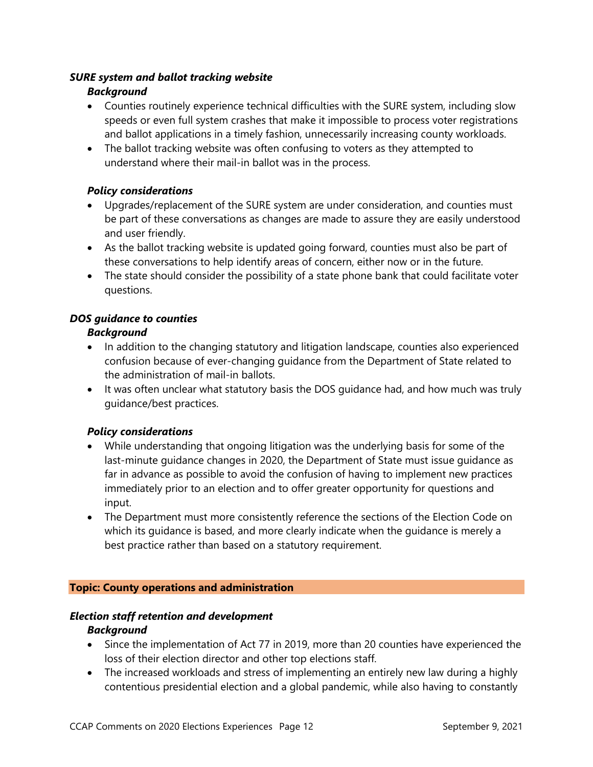### *SURE system and ballot tracking website*

### *Background*

- Counties routinely experience technical difficulties with the SURE system, including slow speeds or even full system crashes that make it impossible to process voter registrations and ballot applications in a timely fashion, unnecessarily increasing county workloads.
- The ballot tracking website was often confusing to voters as they attempted to understand where their mail-in ballot was in the process.

### *Policy considerations*

- Upgrades/replacement of the SURE system are under consideration, and counties must be part of these conversations as changes are made to assure they are easily understood and user friendly.
- As the ballot tracking website is updated going forward, counties must also be part of these conversations to help identify areas of concern, either now or in the future.
- The state should consider the possibility of a state phone bank that could facilitate voter questions.

# *DOS guidance to counties*

### *Background*

- In addition to the changing statutory and litigation landscape, counties also experienced confusion because of ever-changing guidance from the Department of State related to the administration of mail-in ballots.
- It was often unclear what statutory basis the DOS guidance had, and how much was truly guidance/best practices.

# *Policy considerations*

- While understanding that ongoing litigation was the underlying basis for some of the last-minute guidance changes in 2020, the Department of State must issue guidance as far in advance as possible to avoid the confusion of having to implement new practices immediately prior to an election and to offer greater opportunity for questions and input.
- The Department must more consistently reference the sections of the Election Code on which its guidance is based, and more clearly indicate when the guidance is merely a best practice rather than based on a statutory requirement.

#### **Topic: County operations and administration**

#### *Election staff retention and development*

#### *Background*

- Since the implementation of Act 77 in 2019, more than 20 counties have experienced the loss of their election director and other top elections staff.
- The increased workloads and stress of implementing an entirely new law during a highly contentious presidential election and a global pandemic, while also having to constantly